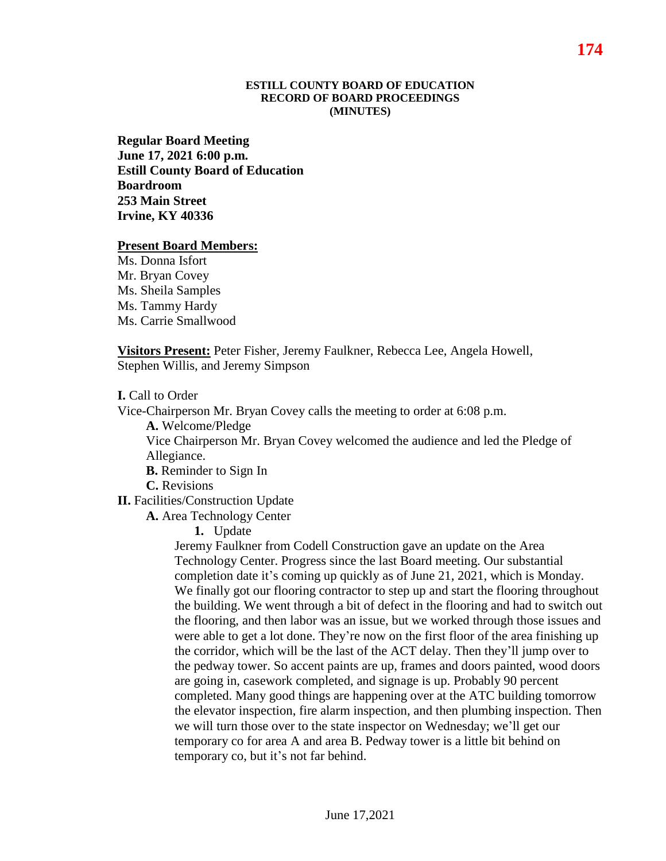#### **ESTILL COUNTY BOARD OF EDUCATION RECORD OF BOARD PROCEEDINGS (MINUTES)**

**Regular Board Meeting June 17, 2021 6:00 p.m. Estill County Board of Education Boardroom 253 Main Street Irvine, KY 40336**

#### **Present Board Members:**

Ms. Donna Isfort Mr. Bryan Covey Ms. Sheila Samples Ms. Tammy Hardy Ms. Carrie Smallwood

**Visitors Present:** Peter Fisher, Jeremy Faulkner, Rebecca Lee, Angela Howell, Stephen Willis, and Jeremy Simpson

**I.** Call to Order

Vice-Chairperson Mr. Bryan Covey calls the meeting to order at 6:08 p.m.

**A.** Welcome/Pledge

Vice Chairperson Mr. Bryan Covey welcomed the audience and led the Pledge of Allegiance.

**B.** Reminder to Sign In

**C.** Revisions

**II.** Facilities/Construction Update

**A.** Area Technology Center

**1.** Update

Jeremy Faulkner from Codell Construction gave an update on the Area Technology Center. Progress since the last Board meeting. Our substantial completion date it's coming up quickly as of June 21, 2021, which is Monday. We finally got our flooring contractor to step up and start the flooring throughout the building. We went through a bit of defect in the flooring and had to switch out the flooring, and then labor was an issue, but we worked through those issues and were able to get a lot done. They're now on the first floor of the area finishing up the corridor, which will be the last of the ACT delay. Then they'll jump over to the pedway tower. So accent paints are up, frames and doors painted, wood doors are going in, casework completed, and signage is up. Probably 90 percent completed. Many good things are happening over at the ATC building tomorrow the elevator inspection, fire alarm inspection, and then plumbing inspection. Then we will turn those over to the state inspector on Wednesday; we'll get our temporary co for area A and area B. Pedway tower is a little bit behind on temporary co, but it's not far behind.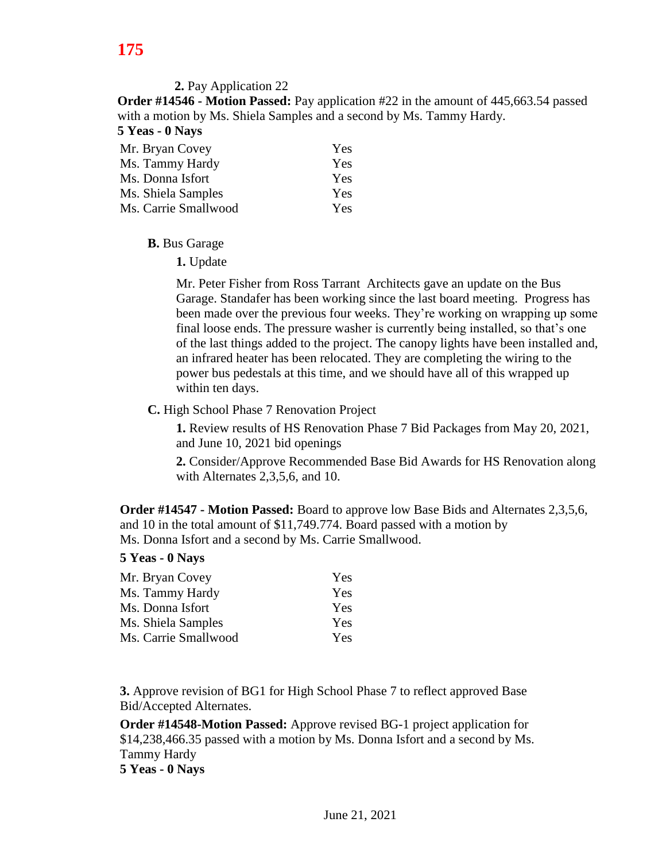**2.** Pay Application 22

**Order #14546 - Motion Passed:** Pay application #22 in the amount of 445,663.54 passed with a motion by Ms. Shiela Samples and a second by Ms. Tammy Hardy. **5 Yeas - 0 Nays**

| $\sim$ 1 Las - 0 1 Mays |     |
|-------------------------|-----|
| Mr. Bryan Covey         | Yes |
| Ms. Tammy Hardy         | Yes |
| Ms. Donna Isfort        | Yes |
| Ms. Shiela Samples      | Yes |
| Ms. Carrie Smallwood    | Yes |

**B.** Bus Garage

**1.** Update

Mr. Peter Fisher from Ross Tarrant Architects gave an update on the Bus Garage. Standafer has been working since the last board meeting. Progress has been made over the previous four weeks. They're working on wrapping up some final loose ends. The pressure washer is currently being installed, so that's one of the last things added to the project. The canopy lights have been installed and, an infrared heater has been relocated. They are completing the wiring to the power bus pedestals at this time, and we should have all of this wrapped up within ten days.

**C.** High School Phase 7 Renovation Project

**1.** Review results of HS Renovation Phase 7 Bid Packages from May 20, 2021, and June 10, 2021 bid openings

**2.** Consider/Approve Recommended Base Bid Awards for HS Renovation along with Alternates 2,3,5,6, and 10.

**Order #14547 - Motion Passed:** Board to approve low Base Bids and Alternates 2,3,5,6, and 10 in the total amount of \$11,749.774. Board passed with a motion by Ms. Donna Isfort and a second by Ms. Carrie Smallwood.

# **5 Yeas - 0 Nays**

| Mr. Bryan Covey      | <b>Yes</b> |
|----------------------|------------|
| Ms. Tammy Hardy      | <b>Yes</b> |
| Ms. Donna Isfort     | <b>Yes</b> |
| Ms. Shiela Samples   | <b>Yes</b> |
| Ms. Carrie Smallwood | <b>Yes</b> |

**3.** Approve revision of BG1 for High School Phase 7 to reflect approved Base Bid/Accepted Alternates.

**Order #14548-Motion Passed:** Approve revised BG-1 project application for \$14,238,466.35 passed with a motion by Ms. Donna Isfort and a second by Ms. Tammy Hardy **5 Yeas - 0 Nays**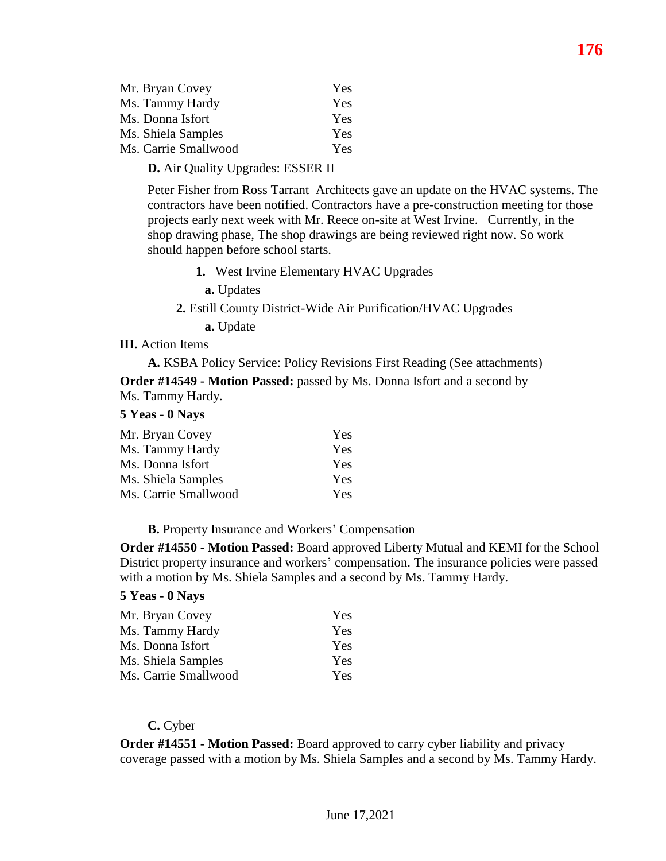| Mr. Bryan Covey      | <b>Yes</b> |
|----------------------|------------|
| Ms. Tammy Hardy      | <b>Yes</b> |
| Ms. Donna Isfort     | <b>Yes</b> |
| Ms. Shiela Samples   | <b>Yes</b> |
| Ms. Carrie Smallwood | <b>Yes</b> |

**D.** Air Quality Upgrades: ESSER II

Peter Fisher from Ross Tarrant Architects gave an update on the HVAC systems. The contractors have been notified. Contractors have a pre-construction meeting for those projects early next week with Mr. Reece on-site at West Irvine. Currently, in the shop drawing phase, The shop drawings are being reviewed right now. So work should happen before school starts.

**1.** West Irvine Elementary HVAC Upgrades

**a.** Updates

**2.** Estill County District-Wide Air Purification/HVAC Upgrades

**a.** Update

#### **III.** Action Items

**A.** KSBA Policy Service: Policy Revisions First Reading (See attachments) **Order #14549 - Motion Passed:** passed by Ms. Donna Isfort and a second by Ms. Tammy Hardy.

#### **5 Yeas - 0 Nays**

| Mr. Bryan Covey      | Yes |
|----------------------|-----|
| Ms. Tammy Hardy      | Yes |
| Ms. Donna Isfort     | Yes |
| Ms. Shiela Samples   | Yes |
| Ms. Carrie Smallwood | Yes |

**B.** Property Insurance and Workers' Compensation

**Order #14550 - Motion Passed:** Board approved Liberty Mutual and KEMI for the School District property insurance and workers' compensation. The insurance policies were passed with a motion by Ms. Shiela Samples and a second by Ms. Tammy Hardy.

#### **5 Yeas - 0 Nays**

| Mr. Bryan Covey      | Yes |
|----------------------|-----|
| Ms. Tammy Hardy      | Yes |
| Ms. Donna Isfort     | Yes |
| Ms. Shiela Samples   | Yes |
| Ms. Carrie Smallwood | Yes |

## **C.** Cyber

**Order #14551 - Motion Passed:** Board approved to carry cyber liability and privacy coverage passed with a motion by Ms. Shiela Samples and a second by Ms. Tammy Hardy.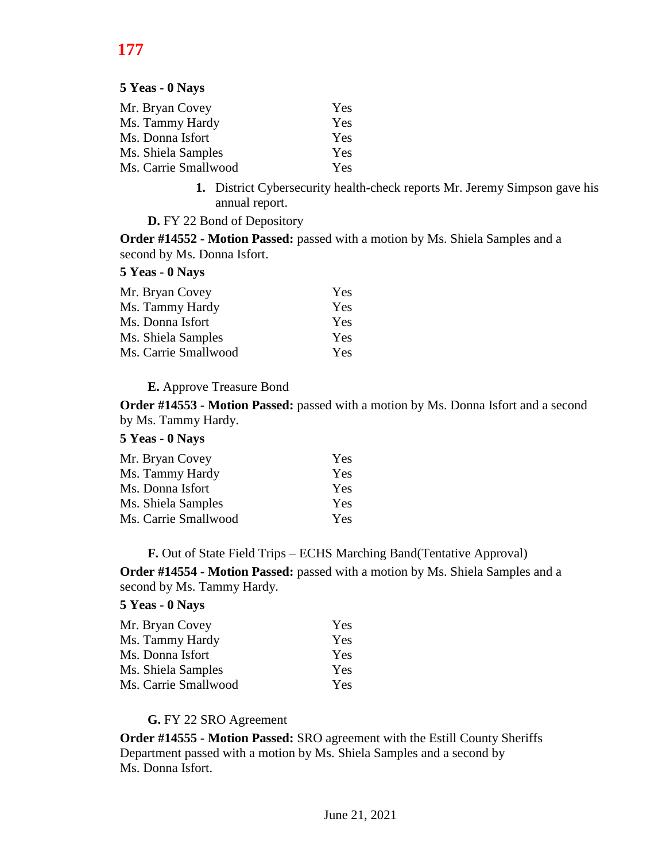# **177**

**5 Yeas - 0 Nays**

| Mr. Bryan Covey      | Yes |
|----------------------|-----|
| Ms. Tammy Hardy      | Yes |
| Ms. Donna Isfort     | Yes |
| Ms. Shiela Samples   | Yes |
| Ms. Carrie Smallwood | Yes |

**1.** District Cybersecurity health-check reports Mr. Jeremy Simpson gave his annual report.

**D.** FY 22 Bond of Depository

**Order #14552 - Motion Passed:** passed with a motion by Ms. Shiela Samples and a second by Ms. Donna Isfort.

### **5 Yeas - 0 Nays**

| Mr. Bryan Covey      | Yes |
|----------------------|-----|
| Ms. Tammy Hardy      | Yes |
| Ms. Donna Isfort     | Yes |
| Ms. Shiela Samples   | Yes |
| Ms. Carrie Smallwood | Yes |

### **E.** Approve Treasure Bond

**Order #14553 - Motion Passed:** passed with a motion by Ms. Donna Isfort and a second by Ms. Tammy Hardy.

# **5 Yeas - 0 Nays**

| Mr. Bryan Covey      | Yes |  |
|----------------------|-----|--|
| Ms. Tammy Hardy      | Yes |  |
| Ms. Donna Isfort     | Yes |  |
| Ms. Shiela Samples   | Yes |  |
| Ms. Carrie Smallwood | Yes |  |

**F.** Out of State Field Trips – ECHS Marching Band(Tentative Approval)

**Order #14554 - Motion Passed:** passed with a motion by Ms. Shiela Samples and a second by Ms. Tammy Hardy.

## **5 Yeas - 0 Nays**

| Mr. Bryan Covey      | Yes.       |
|----------------------|------------|
| Ms. Tammy Hardy      | Yes.       |
| Ms. Donna Isfort     | Yes.       |
| Ms. Shiela Samples   | <b>Yes</b> |
| Ms. Carrie Smallwood | Yes.       |

### **G.** FY 22 SRO Agreement

**Order #14555 - Motion Passed:** SRO agreement with the Estill County Sheriffs Department passed with a motion by Ms. Shiela Samples and a second by Ms. Donna Isfort.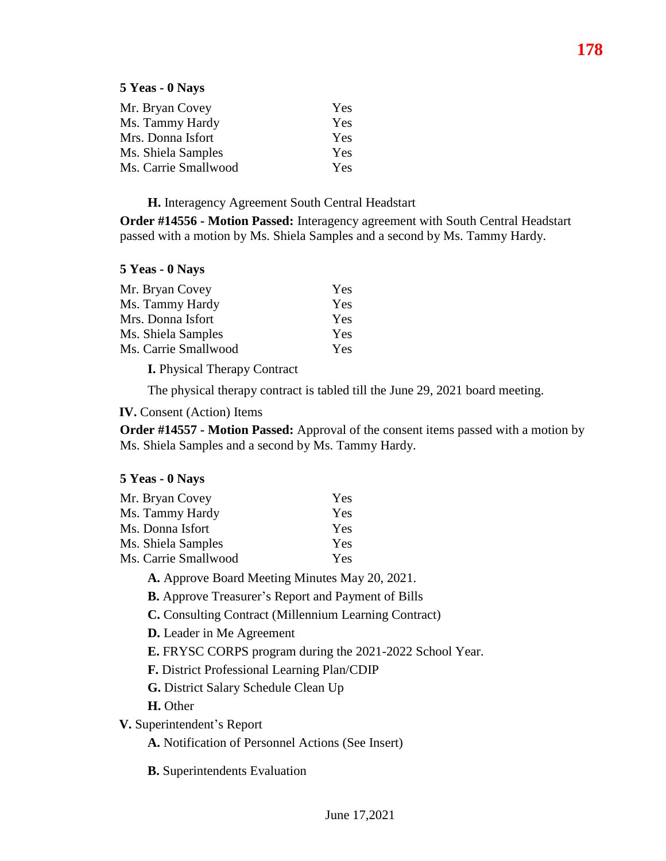## **5 Yeas - 0 Nays**

| Mr. Bryan Covey      | Yes |
|----------------------|-----|
| Ms. Tammy Hardy      | Yes |
| Mrs. Donna Isfort    | Yes |
| Ms. Shiela Samples   | Yes |
| Ms. Carrie Smallwood | Yes |

**H.** Interagency Agreement South Central Headstart

**Order #14556 - Motion Passed:** Interagency agreement with South Central Headstart passed with a motion by Ms. Shiela Samples and a second by Ms. Tammy Hardy.

## **5 Yeas - 0 Nays**

| Yes |
|-----|
| Yes |
| Yes |
| Yes |
| Yes |
|     |

**I.** Physical Therapy Contract

The physical therapy contract is tabled till the June 29, 2021 board meeting.

**IV.** Consent (Action) Items

**Order #14557 - Motion Passed:** Approval of the consent items passed with a motion by Ms. Shiela Samples and a second by Ms. Tammy Hardy.

# **5 Yeas - 0 Nays**

| Mr. Bryan Covey      | Yes |
|----------------------|-----|
| Ms. Tammy Hardy      | Yes |
| Ms. Donna Isfort     | Yes |
| Ms. Shiela Samples   | Yes |
| Ms. Carrie Smallwood | Yes |
|                      |     |

**A.** Approve Board Meeting Minutes May 20, 2021.

**B.** Approve Treasurer's Report and Payment of Bills

**C.** Consulting Contract (Millennium Learning Contract)

**D.** Leader in Me Agreement

**E.** FRYSC CORPS program during the 2021-2022 School Year.

**F.** District Professional Learning Plan/CDIP

**G.** District Salary Schedule Clean Up

**H.** Other

**V.** Superintendent's Report

**A.** Notification of Personnel Actions (See Insert)

**B.** Superintendents Evaluation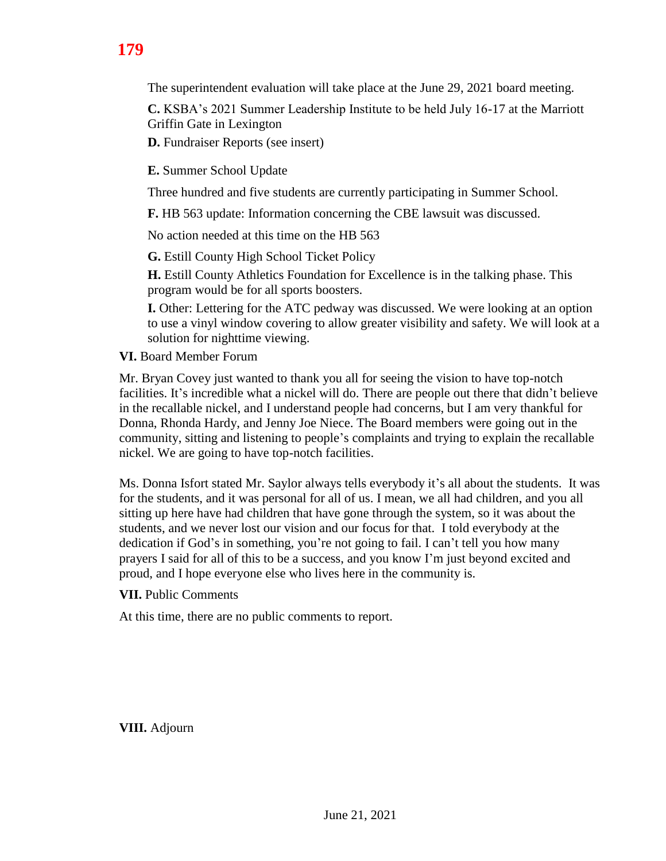**C.** KSBA's 2021 Summer Leadership Institute to be held July 16-17 at the Marriott Griffin Gate in Lexington

The superintendent evaluation will take place at the June 29, 2021 board meeting.

**D.** Fundraiser Reports (see insert)

**E.** Summer School Update

Three hundred and five students are currently participating in Summer School.

**F.** HB 563 update: Information concerning the CBE lawsuit was discussed.

No action needed at this time on the HB 563

**G.** Estill County High School Ticket Policy

**H.** Estill County Athletics Foundation for Excellence is in the talking phase. This program would be for all sports boosters.

**I.** Other: Lettering for the ATC pedway was discussed. We were looking at an option to use a vinyl window covering to allow greater visibility and safety. We will look at a solution for nighttime viewing.

**VI.** Board Member Forum

Mr. Bryan Covey just wanted to thank you all for seeing the vision to have top-notch facilities. It's incredible what a nickel will do. There are people out there that didn't believe in the recallable nickel, and I understand people had concerns, but I am very thankful for Donna, Rhonda Hardy, and Jenny Joe Niece. The Board members were going out in the community, sitting and listening to people's complaints and trying to explain the recallable nickel. We are going to have top-notch facilities.

Ms. Donna Isfort stated Mr. Saylor always tells everybody it's all about the students. It was for the students, and it was personal for all of us. I mean, we all had children, and you all sitting up here have had children that have gone through the system, so it was about the students, and we never lost our vision and our focus for that. I told everybody at the dedication if God's in something, you're not going to fail. I can't tell you how many prayers I said for all of this to be a success, and you know I'm just beyond excited and proud, and I hope everyone else who lives here in the community is.

**VII.** Public Comments

At this time, there are no public comments to report.

**VIII.** Adjourn